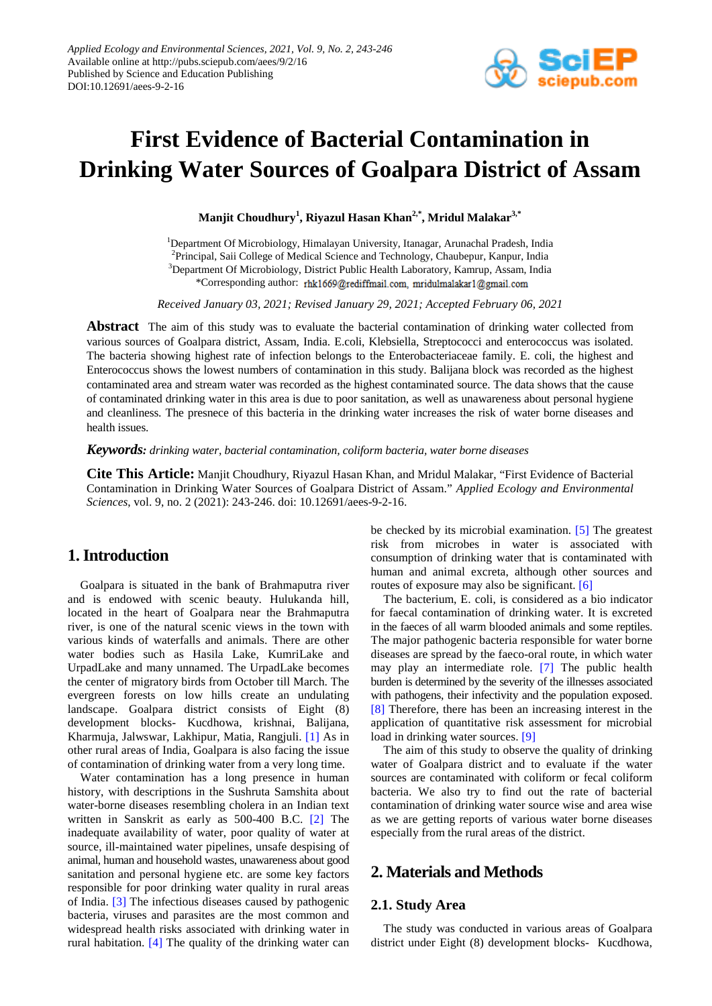

# **First Evidence of Bacterial Contamination in Drinking Water Sources of Goalpara District of Assam**

**Manjit Choudhury<sup>1</sup> , Riyazul Hasan Khan2,\*, Mridul Malakar3,\***

<sup>1</sup>Department Of Microbiology, Himalayan University, Itanagar, Arunachal Pradesh, India <sup>2</sup>Principal, Saii College of Medical Science and Technology, Chaubepur, Kanpur, India <sup>3</sup>Department Of Microbiology, District Public Health Laboratory, Kamrup, Assam, India \*Corresponding author: rhk1669@rediffmail.com, mridulmalakar1@gmail.com

*Received January 03, 2021; Revised January 29, 2021; Accepted February 06, 2021*

**Abstract** The aim of this study was to evaluate the bacterial contamination of drinking water collected from various sources of Goalpara district, Assam, India. E.coli, Klebsiella, Streptococci and enterococcus was isolated. The bacteria showing highest rate of infection belongs to the Enterobacteriaceae family. E. coli, the highest and Enterococcus shows the lowest numbers of contamination in this study. Balijana block was recorded as the highest contaminated area and stream water was recorded as the highest contaminated source. The data shows that the cause of contaminated drinking water in this area is due to poor sanitation, as well as unawareness about personal hygiene and cleanliness. The presnece of this bacteria in the drinking water increases the risk of water borne diseases and health issues.

*Keywords: drinking water, bacterial contamination, coliform bacteria, water borne diseases*

**Cite This Article:** Manjit Choudhury, Riyazul Hasan Khan, and Mridul Malakar, "First Evidence of Bacterial Contamination in Drinking Water Sources of Goalpara District of Assam." *Applied Ecology and Environmental Sciences*, vol. 9, no. 2 (2021): 243-246. doi: 10.12691/aees-9-2-16.

## **1. Introduction**

Goalpara is situated in the bank of Brahmaputra river and is endowed with scenic beauty. Hulukanda hill, located in the heart of Goalpara near the Brahmaputra river, is one of the natural scenic views in the town with various kinds of waterfalls and animals. There are other water bodies such as Hasila Lake, KumriLake and UrpadLake and many unnamed. The UrpadLake becomes the center of migratory birds from October till March. The evergreen forests on low hills create an undulating landscape. Goalpara district consists of Eight (8) development blocks- Kucdhowa, krishnai, Balijana, Kharmuja, Jalwswar, Lakhipur, Matia, Rangjuli. [\[1\]](#page-2-0) As in other rural areas of India, Goalpara is also facing the issue of contamination of drinking water from a very long time.

Water contamination has a long presence in human history, with descriptions in the Sushruta Samshita about water-borne diseases resembling cholera in an Indian text written in Sanskrit as early as 500-400 B.C. [\[2\]](#page-2-1) The inadequate availability of water, poor quality of water at source, ill-maintained water pipelines, unsafe despising of animal, human and household wastes, unawareness about good sanitation and personal hygiene etc. are some key factors responsible for poor drinking water quality in rural areas of India. [\[3\]](#page-2-2) The infectious diseases caused by pathogenic bacteria, viruses and parasites are the most common and widespread health risks associated with drinking water in rural habitation. [\[4\]](#page-2-3) The quality of the drinking water can be checked by its microbial examination. [\[5\]](#page-2-4) The greatest risk from microbes in water is associated with consumption of drinking water that is contaminated with human and animal excreta, although other sources and routes of exposure may also be significant. [\[6\]](#page-2-5)

The bacterium, E. coli, is considered as a bio indicator for faecal contamination of drinking water. It is excreted in the faeces of all warm blooded animals and some reptiles. The major pathogenic bacteria responsible for water borne diseases are spread by the faeco-oral route, in which water may play an intermediate role. [\[7\]](#page-2-6) The public health burden is determined by the severity of the illnesses associated with pathogens, their infectivity and the population exposed. [\[8\]](#page-3-0) Therefore, there has been an increasing interest in the application of quantitative risk assessment for microbial load in drinking water sources. [\[9\]](#page-3-1)

The aim of this study to observe the quality of drinking water of Goalpara district and to evaluate if the water sources are contaminated with coliform or fecal coliform bacteria. We also try to find out the rate of bacterial contamination of drinking water source wise and area wise as we are getting reports of various water borne diseases especially from the rural areas of the district.

## **2. Materials and Methods**

#### **2.1. Study Area**

The study was conducted in various areas of Goalpara district under Eight (8) development blocks- Kucdhowa,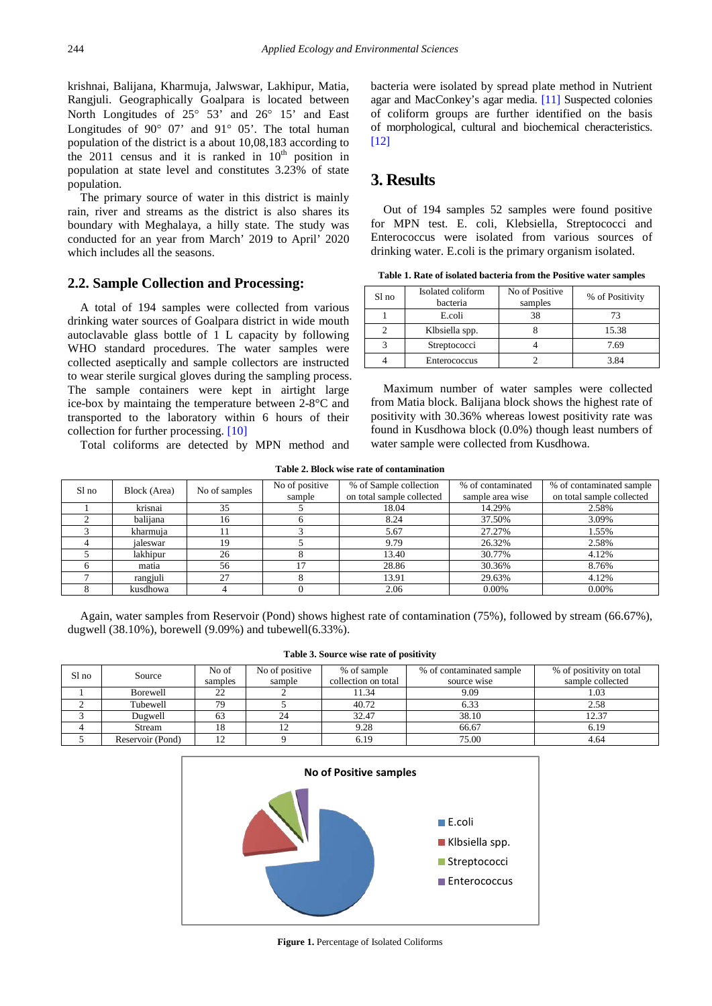krishnai, Balijana, Kharmuja, Jalwswar, Lakhipur, Matia, Rangjuli. Geographically Goalpara is located between North Longitudes of 25° 53' and 26° 15' and East Longitudes of 90° 07' and 91° 05'. The total human population of the district is a about 10,08,183 according to the 2011 census and it is ranked in  $10<sup>th</sup>$  position in population at state level and constitutes 3.23% of state population.

The primary source of water in this district is mainly rain, river and streams as the district is also shares its boundary with Meghalaya, a hilly state. The study was conducted for an year from March' 2019 to April' 2020 which includes all the seasons.

#### **2.2. Sample Collection and Processing:**

A total of 194 samples were collected from various drinking water sources of Goalpara district in wide mouth autoclavable glass bottle of 1 L capacity by following WHO standard procedures. The water samples were collected aseptically and sample collectors are instructed to wear sterile surgical gloves during the sampling process. The sample containers were kept in airtight large ice-box by maintaing the temperature between 2-8°C and transported to the laboratory within 6 hours of their collection for further processing. [\[10\]](#page-3-2)

Total coliforms are detected by MPN method and

bacteria were isolated by spread plate method in Nutrient agar and MacConkey's agar media. [\[11\]](#page-3-3) Suspected colonies of coliform groups are further identified on the basis of morphological, cultural and biochemical cheracteristics.  $[12]$ 

## **3. Results**

Out of 194 samples 52 samples were found positive for MPN test. E. coli, Klebsiella, Streptococci and Enterococcus were isolated from various sources of drinking water. E.coli is the primary organism isolated.

**Table 1. Rate of isolated bacteria from the Positive water samples**

| Sl no | Isolated coliform<br>bacteria | No of Positive<br>samples | % of Positivity |
|-------|-------------------------------|---------------------------|-----------------|
|       | E.coli                        | 38                        | 73              |
|       | Klbsiella spp.                |                           | 15.38           |
|       | Streptococci                  |                           | 7.69            |
|       | Enterococcus                  |                           | 3.84            |

Maximum number of water samples were collected from Matia block. Balijana block shows the highest rate of positivity with 30.36% whereas lowest positivity rate was found in Kusdhowa block (0.0%) though least numbers of water sample were collected from Kusdhowa.

|  |  |  |  |  | Table 2. Block wise rate of contamination |
|--|--|--|--|--|-------------------------------------------|
|--|--|--|--|--|-------------------------------------------|

| Sl no | Block (Area) | No of samples | No of positive<br>sample | % of Sample collection<br>on total sample collected | % of contaminated<br>sample area wise | % of contaminated sample<br>on total sample collected |
|-------|--------------|---------------|--------------------------|-----------------------------------------------------|---------------------------------------|-------------------------------------------------------|
|       | krisnai      | 35            |                          | 18.04                                               | 14.29%                                | 2.58%                                                 |
|       | balijana     | 16            |                          | 8.24                                                | 37.50%                                | 3.09%                                                 |
|       | kharmuja     |               |                          | 5.67                                                | 27.27%                                | 1.55%                                                 |
|       | ialeswar     | 19            |                          | 9.79                                                | 26.32%                                | 2.58%                                                 |
|       | lakhipur     | 26            |                          | 13.40                                               | 30.77%                                | 4.12%                                                 |
|       | matia        | 56            | 17                       | 28.86                                               | 30.36%                                | 8.76%                                                 |
|       | rangjuli     | 27            |                          | 13.91                                               | 29.63%                                | 4.12%                                                 |
|       | kusdhowa     |               |                          | 2.06                                                | 0.00%                                 | $0.00\%$                                              |

Again, water samples from Reservoir (Pond) shows highest rate of contamination (75%), followed by stream (66.67%), dugwell (38.10%), borewell (9.09%) and tubewell(6.33%).

**Table 3. Source wise rate of positivity**

<span id="page-1-0"></span>

| Sl no | Source           | No of   | No of positive | % of sample         | % of contaminated sample | % of positivity on total |  |
|-------|------------------|---------|----------------|---------------------|--------------------------|--------------------------|--|
|       |                  | samples | sample         | collection on total | source wise              | sample collected         |  |
|       | Borewell         |         |                | 11.34               | 9.09                     | 1.03                     |  |
|       | Tubewell         | 79      |                | 40.72               | 6.33                     | 2.58                     |  |
|       | Dugwell          | bź      |                | 32.47               | 38.10                    | 12.37                    |  |
|       | Stream           | 18      |                | 9.28                | 66.67                    | 6.19                     |  |
|       | Reservoir (Pond) | 12      |                | 6.19                | 75.00                    | 4.64                     |  |



**Figure 1.** Percentage of Isolated Coliforms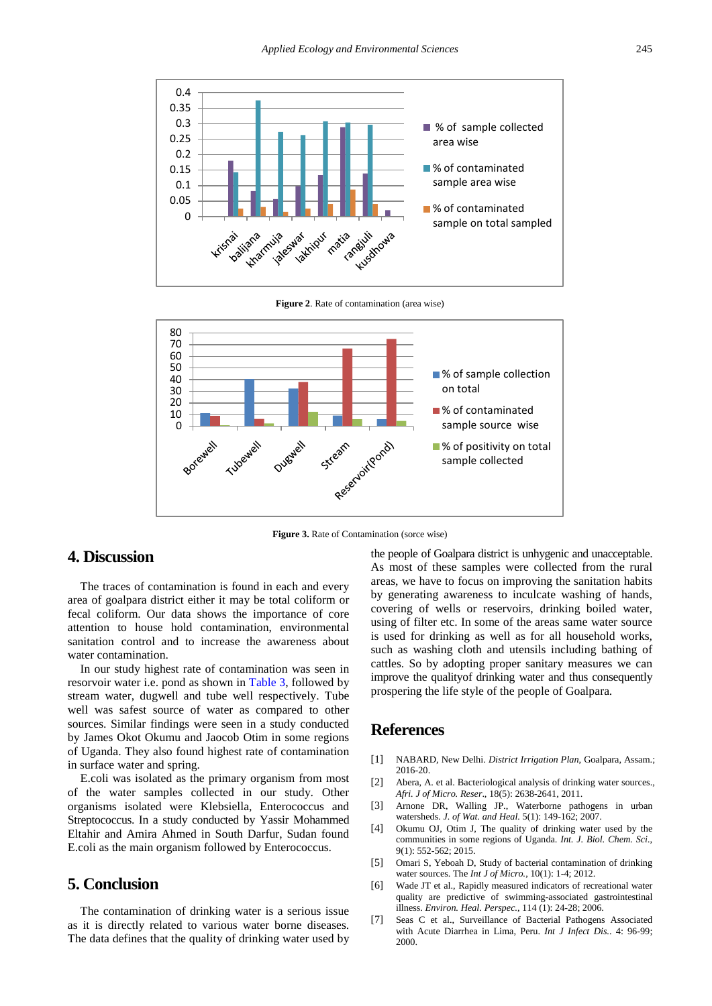

**Figure 2**. Rate of contamination (area wise)



**Figure 3.** Rate of Contamination (sorce wise)

#### **4. Discussion**

The traces of contamination is found in each and every area of goalpara district either it may be total coliform or fecal coliform. Our data shows the importance of core attention to house hold contamination, environmental sanitation control and to increase the awareness about water contamination.

In our study highest rate of contamination was seen in resorvoir water i.e. pond as shown in [Table 3,](#page-1-0) followed by stream water, dugwell and tube well respectively. Tube well was safest source of water as compared to other sources. Similar findings were seen in a study conducted by James Okot Okumu and Jaocob Otim in some regions of Uganda. They also found highest rate of contamination in surface water and spring.

E.coli was isolated as the primary organism from most of the water samples collected in our study. Other organisms isolated were Klebsiella, Enterococcus and Streptococcus. In a study conducted by Yassir Mohammed Eltahir and Amira Ahmed in South Darfur, Sudan found E.coli as the main organism followed by Enterococcus.

#### **5. Conclusion**

The contamination of drinking water is a serious issue as it is directly related to various water borne diseases. The data defines that the quality of drinking water used by the people of Goalpara district is unhygenic and unacceptable. As most of these samples were collected from the rural areas, we have to focus on improving the sanitation habits by generating awareness to inculcate washing of hands, covering of wells or reservoirs, drinking boiled water, using of filter etc. In some of the areas same water source is used for drinking as well as for all household works, such as washing cloth and utensils including bathing of cattles. So by adopting proper sanitary measures we can improve the qualityof drinking water and thus consequently prospering the life style of the people of Goalpara.

### **References**

- <span id="page-2-0"></span>[1] NABARD, New Delhi. *District Irrigation Plan*, Goalpara, Assam.; 2016-20.
- <span id="page-2-1"></span>[2] Abera, A. et al. Bacteriological analysis of drinking water sources. *Afri. J of Micro. Reser*., 18(5): 2638-2641, 2011.
- <span id="page-2-2"></span>[3] Arnone DR, Walling JP., Waterborne pathogens in urban watersheds. *J. of Wat. and Heal.* 5(1): 149-162; 2007.
- <span id="page-2-3"></span>[4] Okumu OJ, Otim J, The quality of drinking water used by the communities in some regions of Uganda. *Int. J. Biol. Chem. Sci.*, 9(1): 552-562; 2015.
- <span id="page-2-4"></span>[5] Omari S, Yeboah D, Study of bacterial contamination of drinking water sources. The *Int J of Micro.*, 10(1): 1-4; 2012.
- <span id="page-2-5"></span>[6] Wade JT et al., Rapidly measured indicators of recreational water quality are predictive of swimming-associated gastrointestinal illness. *Environ. Heal. Perspec.*, 114 (1): 24-28; 2006.
- <span id="page-2-6"></span>[7] Seas C et al., Surveillance of Bacterial Pathogens Associated with Acute Diarrhea in Lima, Peru. *Int J Infect Dis.*. 4: 96-99; 2000.